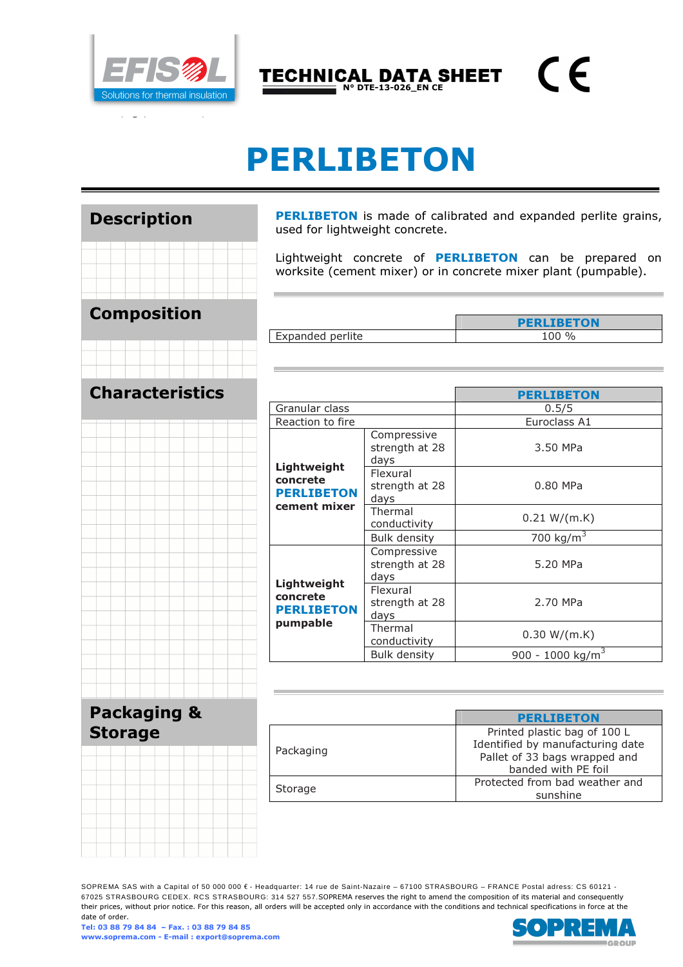

 $\epsilon$ TECHNICAL DATA SHEET

# PERLIBETON

 $N^{\circ}$  DTE-13-026\_EN CE

| <b>Description</b>                       |                        |  |                          |  |  |
|------------------------------------------|------------------------|--|--------------------------|--|--|
|                                          |                        |  |                          |  |  |
| <b>Composition</b>                       |                        |  |                          |  |  |
|                                          |                        |  | $\overline{\phantom{a}}$ |  |  |
|                                          | <b>Characteristics</b> |  |                          |  |  |
|                                          |                        |  |                          |  |  |
|                                          |                        |  |                          |  |  |
|                                          |                        |  |                          |  |  |
|                                          |                        |  |                          |  |  |
|                                          |                        |  |                          |  |  |
|                                          |                        |  |                          |  |  |
| <b>Packaging &amp;</b><br><b>Storage</b> |                        |  |                          |  |  |

PERLIBETON is made of calibrated and expanded perlite grains, used for lightweight concrete.

Lightweight concrete of **PERLIBETON** can be prepared on worksite (cement mixer) or in concrete mixer plant (pumpable).

|                  | <b>PERLIBETON</b> |
|------------------|-------------------|
| Expanded perlite | $\frac{1}{2}$     |

|                                                              |                                       | <b>PERLIBETON</b>            |  |  |
|--------------------------------------------------------------|---------------------------------------|------------------------------|--|--|
| Granular class                                               |                                       | 0.5/5                        |  |  |
| Reaction to fire                                             |                                       | Euroclass A1                 |  |  |
| Lightweight<br>concrete<br><b>PERLIBETON</b><br>cement mixer | Compressive<br>strength at 28<br>days | 3.50 MPa                     |  |  |
|                                                              | Flexural<br>strength at 28<br>days    | 0.80 MPa                     |  |  |
|                                                              | Thermal<br>conductivity               | 0.21 W/(m.K)                 |  |  |
|                                                              | <b>Bulk density</b>                   | 700 kg/ $m^3$                |  |  |
| Lightweight<br>concrete<br><b>PERLIBETON</b><br>pumpable     | Compressive<br>strength at 28<br>days | 5.20 MPa                     |  |  |
|                                                              | Flexural<br>strength at 28<br>days    | 2.70 MPa                     |  |  |
|                                                              | Thermal<br>conductivity               | 0.30 W/(m.K)                 |  |  |
|                                                              | <b>Bulk density</b>                   | 900 - 1000 kg/m <sup>3</sup> |  |  |

|           | <b>PERLIBETON</b>                |
|-----------|----------------------------------|
|           | Printed plastic bag of 100 L     |
| Packaging | Identified by manufacturing date |
|           | Pallet of 33 bags wrapped and    |
|           | banded with PE foil              |
|           | Protected from bad weather and   |
| Storage   | sunshine                         |
|           |                                  |

SOPREMA SAS with a Capital of 50 000 000 € - Headquarter: 14 rue de Saint-Nazaire – 67100 STRASBOURG – FRANCE Postal adress: CS 60121 - 67025 STRASBOURG CEDEX. RCS STRASBOURG: 314 527 557.SOPREMA reserves the right to amend the composition of its material and consequently their prices, without prior notice. For this reason, all orders will be accepted only in accordance with the conditions and technical specifications in force at the date of order.

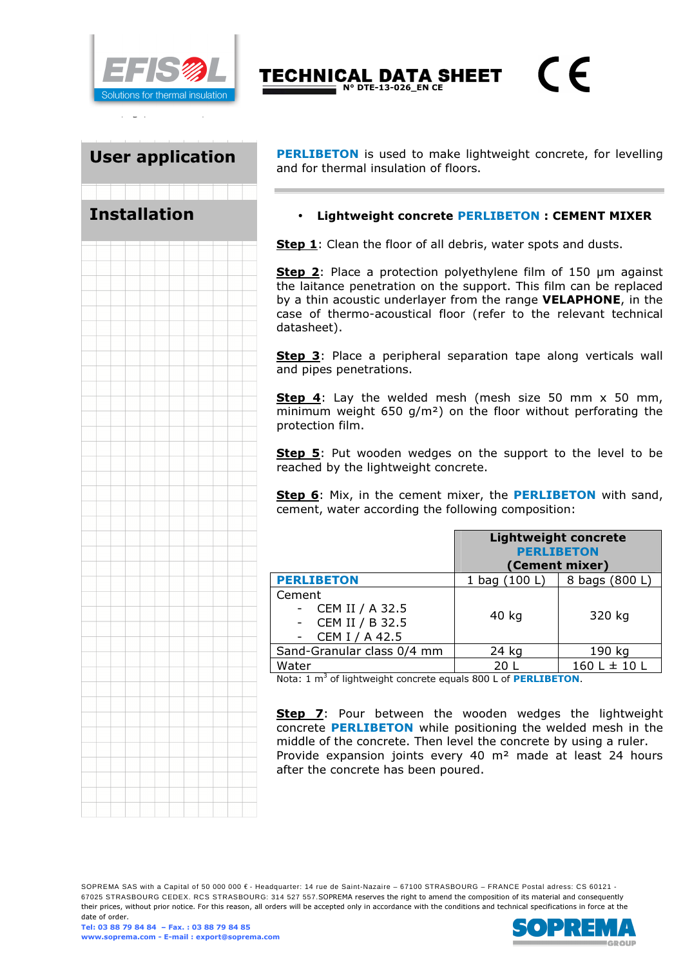

Installation

User application PERLIBETON is used to make lightweight concrete, for levelling and for thermal insulation of floors.

 $\epsilon$ 

#### Lightweight concrete **PERLIBETON** : CEMENT MIXER

Step 1: Clean the floor of all debris, water spots and dusts.

TECHNICAL DATA SHEET  $N^{\circ}$  DTE-13-026\_EN CE

Step 2: Place a protection polyethylene film of 150 µm against the laitance penetration on the support. This film can be replaced by a thin acoustic underlayer from the range VELAPHONE, in the case of thermo-acoustical floor (refer to the relevant technical datasheet).

Step 3: Place a peripheral separation tape along verticals wall and pipes penetrations.

Step 4: Lay the welded mesh (mesh size 50 mm x 50 mm, minimum weight 650 g/m²) on the floor without perforating the protection film.

**Step 5**: Put wooden wedges on the support to the level to be reached by the lightweight concrete.

Step 6: Mix, in the cement mixer, the PERLIBETON with sand, cement, water according the following composition:

|                                                                | <b>Lightweight concrete</b><br><b>PERLIBETON</b><br>(Cement mixer) |                  |  |
|----------------------------------------------------------------|--------------------------------------------------------------------|------------------|--|
| <b>PERLIBETON</b>                                              | 1 bag (100 L)                                                      | 8 bags (800 L)   |  |
| Cement<br>CEM II / A 32.5<br>CEM II / B 32.5<br>CEM I / A 42.5 | 40 kg                                                              | 320 kg           |  |
| Sand-Granular class 0/4 mm                                     | 24 kg                                                              | 190 kg           |  |
| Water                                                          | 20 I                                                               | $160 L \pm 10 L$ |  |

Nota: 1 m<sup>3</sup> of lightweight concrete equals 800 L of **PERLIBETON**.

**Step 7:** Pour between the wooden wedges the lightweight concrete PERLIBETON while positioning the welded mesh in the middle of the concrete. Then level the concrete by using a ruler. Provide expansion joints every 40 m² made at least 24 hours after the concrete has been poured.

SOPREMA SAS with a Capital of 50 000 000 € - Headquarter: 14 rue de Saint-Nazaire – 67100 STRASBOURG – FRANCE Postal adress: CS 60121 -67025 STRASBOURG CEDEX. RCS STRASBOURG: 314 527 557.SOPREMA reserves the right to amend the composition of its material and consequently their prices, without prior notice. For this reason, all orders will be accepted only in accordance with the conditions and technical specifications in force at the date of order.

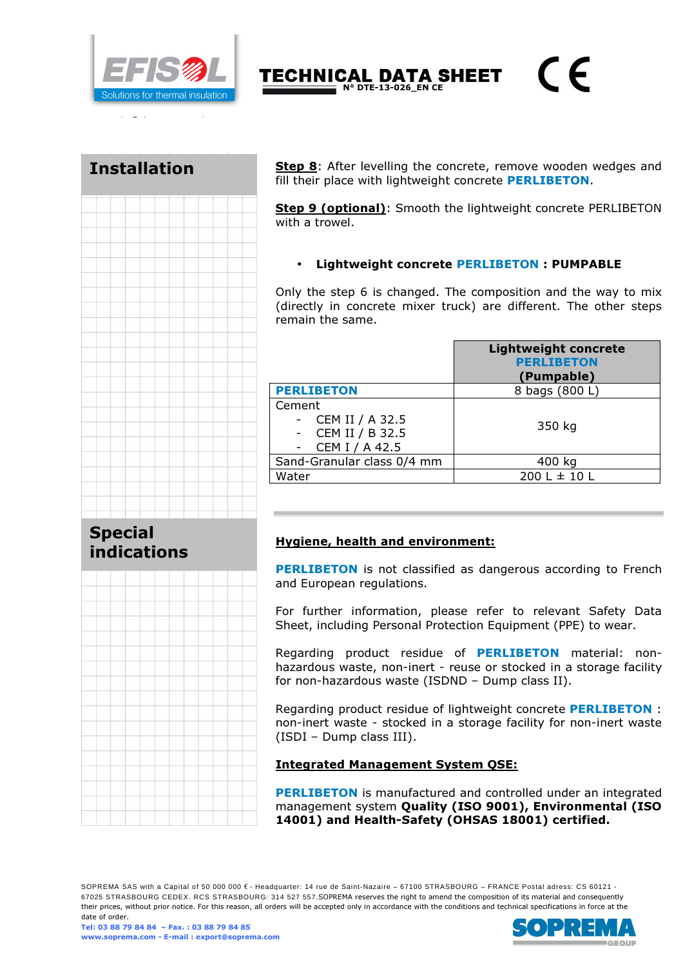

TECHNICAL DATA SHEET  $N^{\circ}$  DTE-13-026\_EN CE

## Installation



Step 8: After levelling the concrete, remove wooden wedges and fill their place with lightweight concrete **PERLIBETON**.

 $\epsilon$ 

Step 9 (optional): Smooth the lightweight concrete PERLIBETON with a trowel.

### • Lightweight concrete PERLIBETON : PUMPABLE

Only the step 6 is changed. The composition and the way to mix (directly in concrete mixer truck) are different. The other steps remain the same.

|                                                                | <b>Lightweight concrete</b><br><b>PERLIBETON</b><br>(Pumpable) |
|----------------------------------------------------------------|----------------------------------------------------------------|
| <b>PERLIBETON</b>                                              | 8 bags (800 L)                                                 |
| Cement<br>CEM II / A 32.5<br>CEM II / B 32.5<br>CEM I / A 42.5 | 350 kg                                                         |
| Sand-Granular class 0/4 mm                                     | 400 kg                                                         |
| Water                                                          | $200 L \pm 10 L$                                               |

## Special indications



## Hygiene, health and environment:

**PERLIBETON** is not classified as dangerous according to French and European regulations.

For further information, please refer to relevant Safety Data Sheet, including Personal Protection Equipment (PPE) to wear.

Regarding product residue of **PERLIBETON** material: nonhazardous waste, non-inert - reuse or stocked in a storage facility for non-hazardous waste (ISDND – Dump class II).

Regarding product residue of lightweight concrete PERLIBETON : non-inert waste - stocked in a storage facility for non-inert waste (ISDI – Dump class III).

#### Integrated Management System QSE:

**PERLIBETON** is manufactured and controlled under an integrated management system Quality (ISO 9001), Environmental (ISO 14001) and Health-Safety (OHSAS 18001) certified.

SOPREMA SAS with a Capital of 50 000 000 € - Headquarter: 14 rue de Saint-Nazaire – 67100 STRASBOURG – FRANCE Postal adress: CS 60121 -67025 STRASBOURG CEDEX. RCS STRASBOURG: 314 527 557.SOPREMA reserves the right to amend the composition of its material and consequently their prices, without prior notice. For this reason, all orders will be accepted only in accordance with the conditions and technical specifications in force at the date of order.